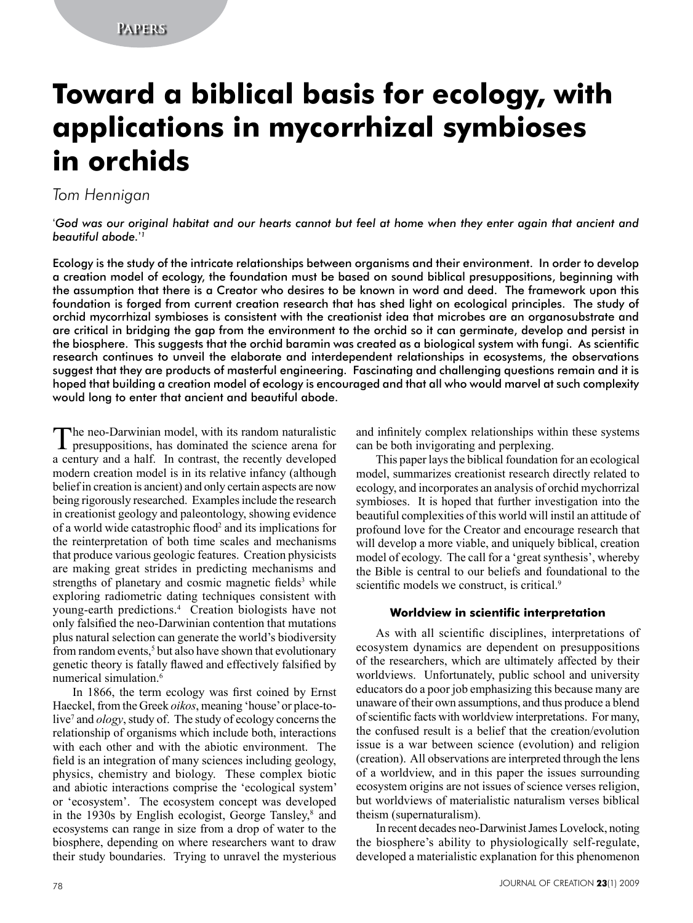# **Toward a biblical basis for ecology, with applications in mycorrhizal symbioses in orchids**

# *Tom Hennigan*

'*God was our original habitat and our hearts cannot but feel at home when they enter again that ancient and beautiful abode.*' *1*

Ecology is the study of the intricate relationships between organisms and their environment. In order to develop a creation model of ecology, the foundation must be based on sound biblical presuppositions, beginning with the assumption that there is a Creator who desires to be known in word and deed. The framework upon this foundation is forged from current creation research that has shed light on ecological principles. The study of orchid mycorrhizal symbioses is consistent with the creationist idea that microbes are an organosubstrate and are critical in bridging the gap from the environment to the orchid so it can germinate, develop and persist in the biosphere. This suggests that the orchid baramin was created as a biological system with fungi. As scientific research continues to unveil the elaborate and interdependent relationships in ecosystems, the observations suggest that they are products of masterful engineering. Fascinating and challenging questions remain and it is hoped that building a creation model of ecology is encouraged and that all who would marvel at such complexity would long to enter that ancient and beautiful abode.

The neo-Darwinian model, with its random naturalistic presuppositions, has dominated the science arena for a century and a half. In contrast, the recently developed modern creation model is in its relative infancy (although belief in creation is ancient) and only certain aspects are now being rigorously researched. Examples include the research in creationist geology and paleontology, showing evidence of a world wide catastrophic flood<sup>2</sup> and its implications for the reinterpretation of both time scales and mechanisms that produce various geologic features. Creation physicists are making great strides in predicting mechanisms and strengths of planetary and cosmic magnetic fields<sup>3</sup> while exploring radiometric dating techniques consistent with young-earth predictions.4 Creation biologists have not only falsified the neo-Darwinian contention that mutations plus natural selection can generate the world's biodiversity from random events,<sup>5</sup> but also have shown that evolutionary genetic theory is fatally flawed and effectively falsified by numerical simulation.<sup>6</sup>

In 1866, the term ecology was first coined by Ernst Haeckel, from the Greek *oikos*, meaning 'house' or place-tolive<sup>7</sup> and *ology*, study of. The study of ecology concerns the relationship of organisms which include both, interactions with each other and with the abiotic environment. The field is an integration of many sciences including geology, physics, chemistry and biology. These complex biotic and abiotic interactions comprise the 'ecological system' or 'ecosystem'. The ecosystem concept was developed in the 1930s by English ecologist, George Tansley, $\delta$  and ecosystems can range in size from a drop of water to the biosphere, depending on where researchers want to draw their study boundaries. Trying to unravel the mysterious

and infinitely complex relationships within these systems can be both invigorating and perplexing.

This paper lays the biblical foundation for an ecological model, summarizes creationist research directly related to ecology, and incorporates an analysis of orchid mychorrizal symbioses. It is hoped that further investigation into the beautiful complexities of this world will instil an attitude of profound love for the Creator and encourage research that will develop a more viable, and uniquely biblical, creation model of ecology. The call for a 'great synthesis', whereby the Bible is central to our beliefs and foundational to the scientific models we construct, is critical.<sup>9</sup>

# **Worldview in scientific interpretation**

As with all scientific disciplines, interpretations of ecosystem dynamics are dependent on presuppositions of the researchers, which are ultimately affected by their worldviews. Unfortunately, public school and university educators do a poor job emphasizing this because many are unaware of their own assumptions, and thus produce a blend of scientific facts with worldview interpretations. For many, the confused result is a belief that the creation/evolution issue is a war between science (evolution) and religion (creation). All observations are interpreted through the lens of a worldview, and in this paper the issues surrounding ecosystem origins are not issues of science verses religion, but worldviews of materialistic naturalism verses biblical theism (supernaturalism).

In recent decades neo-Darwinist James Lovelock, noting the biosphere's ability to physiologically self-regulate, developed a materialistic explanation for this phenomenon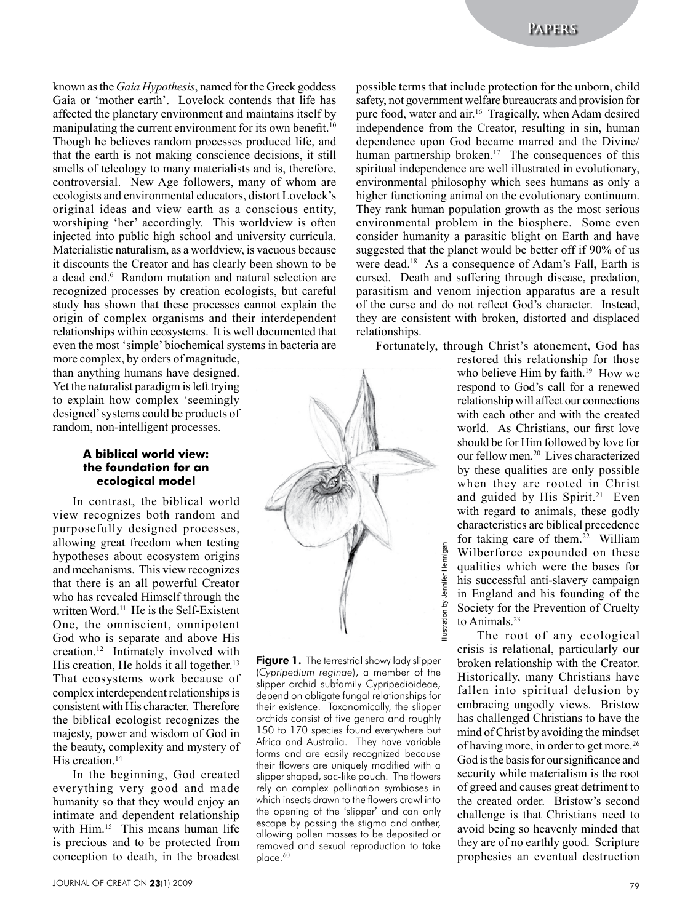known as the *Gaia Hypothesis*, named for the Greek goddess Gaia or 'mother earth'. Lovelock contends that life has affected the planetary environment and maintains itself by manipulating the current environment for its own benefit.<sup>10</sup> Though he believes random processes produced life, and that the earth is not making conscience decisions, it still smells of teleology to many materialists and is, therefore, controversial. New Age followers, many of whom are ecologists and environmental educators, distort Lovelock's original ideas and view earth as a conscious entity, worshiping 'her' accordingly. This worldview is often injected into public high school and university curricula. Materialistic naturalism, as a worldview, is vacuous because it discounts the Creator and has clearly been shown to be a dead end.6 Random mutation and natural selection are recognized processes by creation ecologists, but careful study has shown that these processes cannot explain the origin of complex organisms and their interdependent relationships within ecosystems. It is well documented that even the most 'simple' biochemical systems in bacteria are

more complex, by orders of magnitude, than anything humans have designed. Yet the naturalist paradigm is left trying to explain how complex 'seemingly designed' systems could be products of random, non-intelligent processes.

## **A biblical world view: the foundation for an ecological model**

In contrast, the biblical world view recognizes both random and purposefully designed processes, allowing great freedom when testing hypotheses about ecosystem origins and mechanisms. This view recognizes that there is an all powerful Creator who has revealed Himself through the written Word.11 He is the Self-Existent One, the omniscient, omnipotent God who is separate and above His creation.12 Intimately involved with His creation, He holds it all together.<sup>13</sup> That ecosystems work because of complex interdependent relationships is consistent with His character. Therefore the biblical ecologist recognizes the majesty, power and wisdom of God in the beauty, complexity and mystery of His creation.<sup>14</sup>

In the beginning, God created everything very good and made humanity so that they would enjoy an intimate and dependent relationship with Him.<sup>15</sup> This means human life is precious and to be protected from conception to death, in the broadest possible terms that include protection for the unborn, child safety, not government welfare bureaucrats and provision for pure food, water and air.16 Tragically, when Adam desired independence from the Creator, resulting in sin, human dependence upon God became marred and the Divine/ human partnership broken.<sup>17</sup> The consequences of this spiritual independence are well illustrated in evolutionary, environmental philosophy which sees humans as only a higher functioning animal on the evolutionary continuum. They rank human population growth as the most serious environmental problem in the biosphere. Some even consider humanity a parasitic blight on Earth and have suggested that the planet would be better off if 90% of us were dead.<sup>18</sup> As a consequence of Adam's Fall, Earth is cursed. Death and suffering through disease, predation, parasitism and venom injection apparatus are a result of the curse and do not reflect God's character. Instead, they are consistent with broken, distorted and displaced relationships.

Fortunately, through Christ's atonement, God has

restored this relationship for those who believe Him by faith.<sup>19</sup> How we respond to God's call for a renewed relationship will affect our connections with each other and with the created world. As Christians, our first love should be for Him followed by love for our fellow men.20 Lives characterized by these qualities are only possible when they are rooted in Christ and guided by His Spirit.<sup>21</sup> Even with regard to animals, these godly characteristics are biblical precedence for taking care of them.<sup>22</sup> William Wilberforce expounded on these qualities which were the bases for his successful anti-slavery campaign in England and his founding of the Society for the Prevention of Cruelty to Animals.<sup>23</sup>

The root of any ecological crisis is relational, particularly our broken relationship with the Creator. Historically, many Christians have fallen into spiritual delusion by embracing ungodly views. Bristow has challenged Christians to have the mind of Christ by avoiding the mindset of having more, in order to get more.26 God is the basis for our significance and security while materialism is the root of greed and causes great detriment to the created order. Bristow's second challenge is that Christians need to avoid being so heavenly minded that they are of no earthly good. Scripture prophesies an eventual destruction



Figure 1. The terrestrial showy lady slipper (*Cypripedium reginae*), a member of the slipper orchid subfamily Cypripedioideae, depend on obligate fungal relationships for their existence. Taxonomically, the slipper orchids consist of five genera and roughly 150 to 170 species found everywhere but Africa and Australia. They have variable forms and are easily recognized because their flowers are uniquely modified with a slipper shaped, sac-like pouch. The flowers rely on complex pollination symbioses in which insects drawn to the flowers crawl into the opening of the 'slipper' and can only escape by passing the stigma and anther, allowing pollen masses to be deposited or removed and sexual reproduction to take place.<sup>60</sup>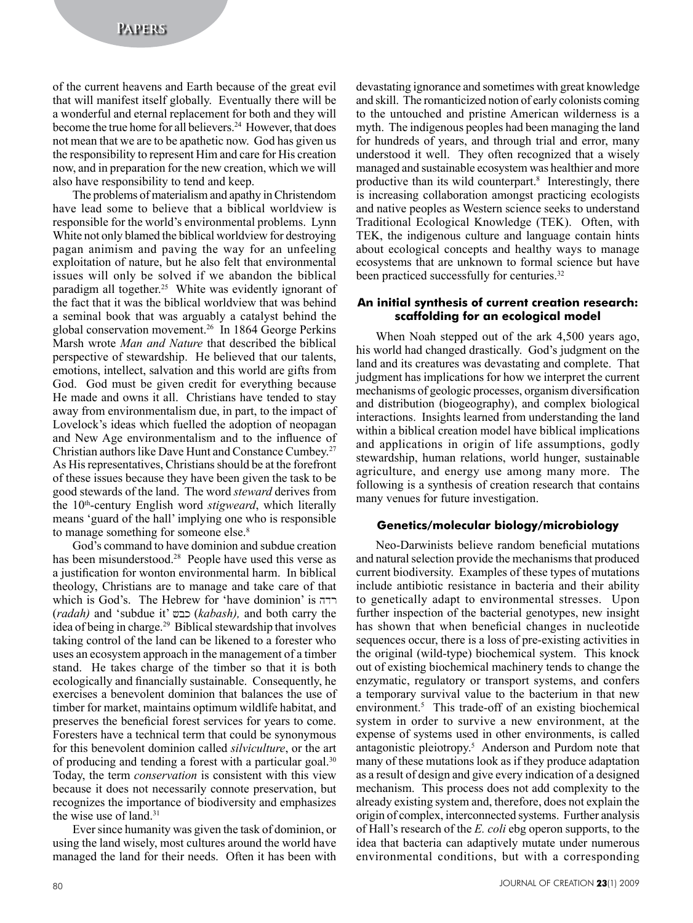of the current heavens and Earth because of the great evil that will manifest itself globally. Eventually there will be a wonderful and eternal replacement for both and they will become the true home for all believers.<sup>24</sup> However, that does not mean that we are to be apathetic now. God has given us the responsibility to represent Him and care for His creation now, and in preparation for the new creation, which we will also have responsibility to tend and keep.

The problems of materialism and apathy in Christendom have lead some to believe that a biblical worldview is responsible for the world's environmental problems. Lynn White not only blamed the biblical worldview for destroying pagan animism and paving the way for an unfeeling exploitation of nature, but he also felt that environmental issues will only be solved if we abandon the biblical paradigm all together.<sup>25</sup> White was evidently ignorant of the fact that it was the biblical worldview that was behind a seminal book that was arguably a catalyst behind the global conservation movement.26 In 1864 George Perkins Marsh wrote *Man and Nature* that described the biblical perspective of stewardship. He believed that our talents, emotions, intellect, salvation and this world are gifts from God. God must be given credit for everything because He made and owns it all. Christians have tended to stay away from environmentalism due, in part, to the impact of Lovelock's ideas which fuelled the adoption of neopagan and New Age environmentalism and to the influence of Christian authors like Dave Hunt and Constance Cumbey.27 As His representatives, Christians should be at the forefront of these issues because they have been given the task to be good stewards of the land. The word *steward* derives from the 10th-century English word *stigweard*, which literally means 'guard of the hall' implying one who is responsible to manage something for someone else.<sup>8</sup>

God's command to have dominion and subdue creation has been misunderstood.<sup>28</sup> People have used this verse as a justification for wonton environmental harm. In biblical theology, Christians are to manage and take care of that which is God's. The Hebrew for 'have dominion' is (*radah)* and 'subdue it' (*kabash),* and both carry the idea of being in charge.29 Biblical stewardship that involves taking control of the land can be likened to a forester who uses an ecosystem approach in the management of a timber stand. He takes charge of the timber so that it is both ecologically and financially sustainable. Consequently, he exercises a benevolent dominion that balances the use of timber for market, maintains optimum wildlife habitat, and preserves the beneficial forest services for years to come. Foresters have a technical term that could be synonymous for this benevolent dominion called *silviculture*, or the art of producing and tending a forest with a particular goal.<sup>30</sup> Today, the term *conservation* is consistent with this view because it does not necessarily connote preservation, but recognizes the importance of biodiversity and emphasizes the wise use of land.31

Ever since humanity was given the task of dominion, or using the land wisely, most cultures around the world have managed the land for their needs. Often it has been with devastating ignorance and sometimes with great knowledge and skill. The romanticized notion of early colonists coming to the untouched and pristine American wilderness is a myth. The indigenous peoples had been managing the land for hundreds of years, and through trial and error, many understood it well. They often recognized that a wisely managed and sustainable ecosystem was healthier and more productive than its wild counterpart.<sup>8</sup> Interestingly, there is increasing collaboration amongst practicing ecologists and native peoples as Western science seeks to understand Traditional Ecological Knowledge (TEK). Often, with TEK, the indigenous culture and language contain hints about ecological concepts and healthy ways to manage ecosystems that are unknown to formal science but have been practiced successfully for centuries.<sup>32</sup>

# **An initial synthesis of current creation research: scaffolding for an ecological model**

When Noah stepped out of the ark 4,500 years ago, his world had changed drastically. God's judgment on the land and its creatures was devastating and complete. That judgment has implications for how we interpret the current mechanisms of geologic processes, organism diversification and distribution (biogeography), and complex biological interactions. Insights learned from understanding the land within a biblical creation model have biblical implications and applications in origin of life assumptions, godly stewardship, human relations, world hunger, sustainable agriculture, and energy use among many more. The following is a synthesis of creation research that contains many venues for future investigation.

#### **Genetics/molecular biology/microbiology**

Neo-Darwinists believe random beneficial mutations and natural selection provide the mechanisms that produced current biodiversity. Examples of these types of mutations include antibiotic resistance in bacteria and their ability to genetically adapt to environmental stresses. Upon further inspection of the bacterial genotypes, new insight has shown that when beneficial changes in nucleotide sequences occur, there is a loss of pre-existing activities in the original (wild-type) biochemical system. This knock out of existing biochemical machinery tends to change the enzymatic, regulatory or transport systems, and confers a temporary survival value to the bacterium in that new environment.<sup>5</sup> This trade-off of an existing biochemical system in order to survive a new environment, at the expense of systems used in other environments, is called antagonistic pleiotropy.<sup>5</sup> Anderson and Purdom note that many of these mutations look as if they produce adaptation as a result of design and give every indication of a designed mechanism. This process does not add complexity to the already existing system and, therefore, does not explain the origin of complex, interconnected systems. Further analysis of Hall's research of the *E. coli* ebg operon supports, to the idea that bacteria can adaptively mutate under numerous environmental conditions, but with a corresponding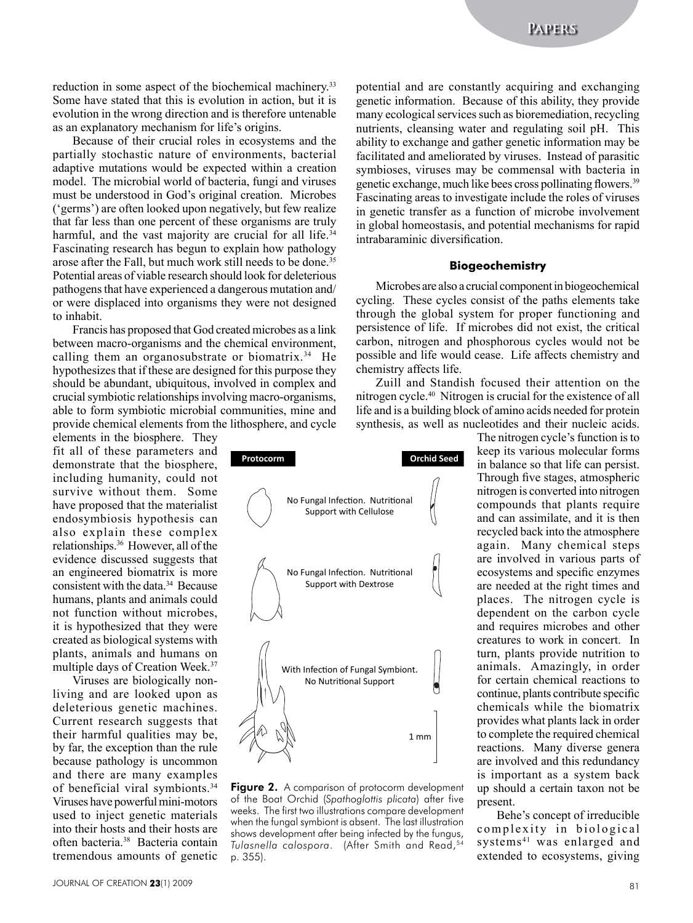reduction in some aspect of the biochemical machinery.<sup>33</sup> Some have stated that this is evolution in action, but it is evolution in the wrong direction and is therefore untenable as an explanatory mechanism for life's origins.

Because of their crucial roles in ecosystems and the partially stochastic nature of environments, bacterial adaptive mutations would be expected within a creation model. The microbial world of bacteria, fungi and viruses must be understood in God's original creation. Microbes ('germs') are often looked upon negatively, but few realize that far less than one percent of these organisms are truly harmful, and the vast majority are crucial for all life.<sup>34</sup> Fascinating research has begun to explain how pathology arose after the Fall, but much work still needs to be done.<sup>35</sup> Potential areas of viable research should look for deleterious pathogens that have experienced a dangerous mutation and/ or were displaced into organisms they were not designed to inhabit.

Francis has proposed that God created microbes as a link between macro-organisms and the chemical environment, calling them an organosubstrate or biomatrix.<sup>34</sup> He hypothesizes that if these are designed for this purpose they should be abundant, ubiquitous, involved in complex and crucial symbiotic relationships involving macro-organisms, able to form symbiotic microbial communities, mine and provide chemical elements from the lithosphere, and cycle

elements in the biosphere. They fit all of these parameters and demonstrate that the biosphere, including humanity, could not survive without them. Some have proposed that the materialist endosymbiosis hypothesis can also explain these complex relationships.36 However, all of the evidence discussed suggests that an engineered biomatrix is more consistent with the data.34 Because humans, plants and animals could not function without microbes, it is hypothesized that they were created as biological systems with plants, animals and humans on multiple days of Creation Week.37

Viruses are biologically nonliving and are looked upon as deleterious genetic machines. Current research suggests that their harmful qualities may be, by far, the exception than the rule because pathology is uncommon and there are many examples of beneficial viral symbionts.34 Viruses have powerful mini-motors used to inject genetic materials into their hosts and their hosts are often bacteria.38 Bacteria contain tremendous amounts of genetic

1 mm With Infection of Fungal Symbiont. No Nutritional Support No Fungal Infection. Nutritional Support with Dextrose No Fungal Infection. Nutritional Support with Cellulose **Protocorm Orchid Seed** 

Figure 2. A comparison of protocorm development of the Boat Orchid (*Spathoglottis plicata*) after five weeks. The first two illustrations compare development when the fungal symbiont is absent. The last illustration shows development after being infected by the fungus, *Tulasnella calospora*. (After Smith and Read,54 p. 355).

potential and are constantly acquiring and exchanging genetic information. Because of this ability, they provide many ecological services such as bioremediation, recycling nutrients, cleansing water and regulating soil pH. This ability to exchange and gather genetic information may be facilitated and ameliorated by viruses. Instead of parasitic symbioses, viruses may be commensal with bacteria in genetic exchange, much like bees cross pollinating flowers.<sup>39</sup> Fascinating areas to investigate include the roles of viruses in genetic transfer as a function of microbe involvement in global homeostasis, and potential mechanisms for rapid intrabaraminic diversification.

#### **Biogeochemistry**

Microbes are also a crucial component in biogeochemical cycling. These cycles consist of the paths elements take through the global system for proper functioning and persistence of life. If microbes did not exist, the critical carbon, nitrogen and phosphorous cycles would not be possible and life would cease. Life affects chemistry and chemistry affects life.

Zuill and Standish focused their attention on the nitrogen cycle.40 Nitrogen is crucial for the existence of all life and is a building block of amino acids needed for protein synthesis, as well as nucleotides and their nucleic acids.

> The nitrogen cycle's function is to keep its various molecular forms in balance so that life can persist. Through five stages, atmospheric nitrogen is converted into nitrogen compounds that plants require and can assimilate, and it is then recycled back into the atmosphere again. Many chemical steps are involved in various parts of ecosystems and specific enzymes are needed at the right times and places. The nitrogen cycle is dependent on the carbon cycle and requires microbes and other creatures to work in concert. In turn, plants provide nutrition to animals. Amazingly, in order for certain chemical reactions to continue, plants contribute specific chemicals while the biomatrix provides what plants lack in order to complete the required chemical reactions. Many diverse genera are involved and this redundancy is important as a system back up should a certain taxon not be present.

> Behe's concept of irreducible complexity in biological systems<sup>41</sup> was enlarged and extended to ecosystems, giving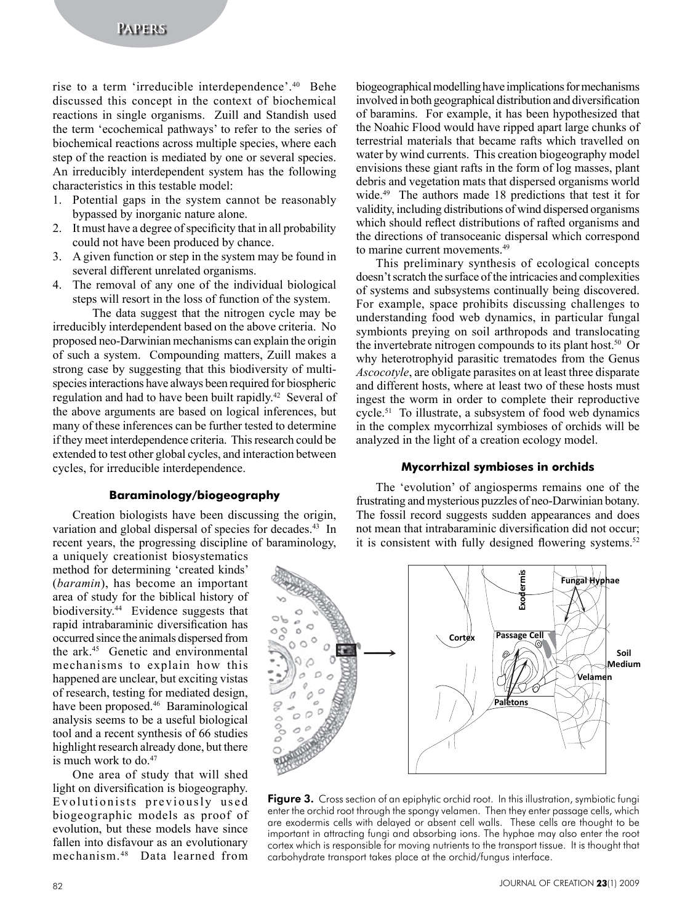rise to a term 'irreducible interdependence'.40 Behe discussed this concept in the context of biochemical reactions in single organisms. Zuill and Standish used the term 'ecochemical pathways' to refer to the series of biochemical reactions across multiple species, where each step of the reaction is mediated by one or several species. An irreducibly interdependent system has the following characteristics in this testable model:

- 1. Potential gaps in the system cannot be reasonably bypassed by inorganic nature alone.
- 2. It must have a degree of specificity that in all probability could not have been produced by chance.
- 3. A given function or step in the system may be found in several different unrelated organisms.
- 4. The removal of any one of the individual biological steps will resort in the loss of function of the system.

The data suggest that the nitrogen cycle may be irreducibly interdependent based on the above criteria. No proposed neo-Darwinian mechanisms can explain the origin of such a system. Compounding matters, Zuill makes a strong case by suggesting that this biodiversity of multispecies interactions have always been required for biospheric regulation and had to have been built rapidly.42 Several of the above arguments are based on logical inferences, but many of these inferences can be further tested to determine if they meet interdependence criteria. This research could be extended to test other global cycles, and interaction between cycles, for irreducible interdependence.

#### **Baraminology/biogeography**

Creation biologists have been discussing the origin, variation and global dispersal of species for decades.<sup>43</sup> In recent years, the progressing discipline of baraminology,

a uniquely creationist biosystematics method for determining 'created kinds' (*baramin*), has become an important area of study for the biblical history of biodiversity.44 Evidence suggests that rapid intrabaraminic diversification has occurred since the animals dispersed from the ark.45 Genetic and environmental mechanisms to explain how this happened are unclear, but exciting vistas of research, testing for mediated design, have been proposed.46 Baraminological analysis seems to be a useful biological tool and a recent synthesis of 66 studies highlight research already done, but there is much work to  $do<sup>47</sup>$ 

One area of study that will shed light on diversification is biogeography. Evolutionists previously used biogeographic models as proof of evolution, but these models have since fallen into disfavour as an evolutionary mechanism. 48 Data learned from biogeographical modelling have implications for mechanisms involved in both geographical distribution and diversification of baramins. For example, it has been hypothesized that the Noahic Flood would have ripped apart large chunks of terrestrial materials that became rafts which travelled on water by wind currents. This creation biogeography model envisions these giant rafts in the form of log masses, plant debris and vegetation mats that dispersed organisms world wide.<sup>49</sup> The authors made 18 predictions that test it for validity, including distributions of wind dispersed organisms which should reflect distributions of rafted organisms and the directions of transoceanic dispersal which correspond to marine current movements.<sup>49</sup>

This preliminary synthesis of ecological concepts doesn't scratch the surface of the intricacies and complexities of systems and subsystems continually being discovered. For example, space prohibits discussing challenges to understanding food web dynamics, in particular fungal symbionts preying on soil arthropods and translocating the invertebrate nitrogen compounds to its plant host.<sup>50</sup> Or why heterotrophyid parasitic trematodes from the Genus *Ascocotyle*, are obligate parasites on at least three disparate and different hosts, where at least two of these hosts must ingest the worm in order to complete their reproductive cycle.51 To illustrate, a subsystem of food web dynamics in the complex mycorrhizal symbioses of orchids will be analyzed in the light of a creation ecology model.

#### **Mycorrhizal symbioses in orchids**

The 'evolution' of angiosperms remains one of the frustrating and mysterious puzzles of neo-Darwinian botany. The fossil record suggests sudden appearances and does not mean that intrabaraminic diversification did not occur; it is consistent with fully designed flowering systems.<sup>52</sup>



Figure 3. Cross section of an epiphytic orchid root. In this illustration, symbiotic fungi enter the orchid root through the spongy velamen. Then they enter passage cells, which are exodermis cells with delayed or absent cell walls. These cells are thought to be important in attracting fungi and absorbing ions. The hyphae may also enter the root cortex which is responsible for moving nutrients to the transport tissue. It is thought that carbohydrate transport takes place at the orchid/fungus interface.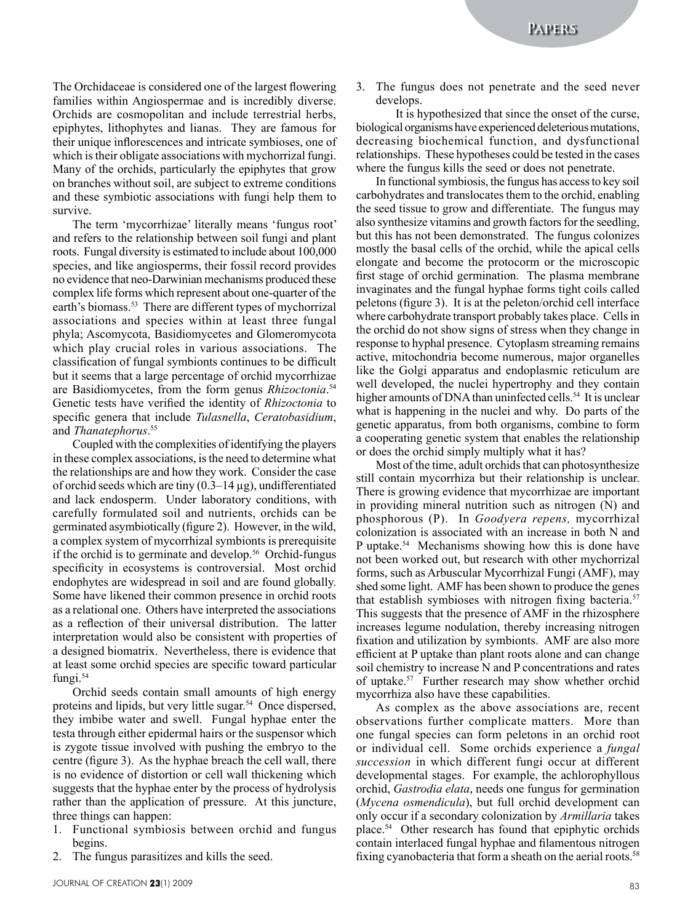The Orchidaceae is considered one of the largest flowering families within Angiospermae and is incredibly diverse. Orchids are cosmopolitan and include terrestrial herbs, epiphytes, lithophytes and lianas. They are famous for their unique inflorescences and intricate symbioses, one of which is their obligate associations with mychorrizal fungi. Many of the orchids, particularly the epiphytes that grow on branches without soil, are subject to extreme conditions and these symbiotic associations with fungi help them to survive.

The term 'mycorrhizae' literally means 'fungus root' and refers to the relationship between soil fungi and plant roots. Fungal diversity is estimated to include about 100,000 species, and like angiosperms, their fossil record provides no evidence that neo-Darwinian mechanisms produced these complex life forms which represent about one-quarter of the earth's biomass.<sup>53</sup> There are different types of mychorrizal associations and species within at least three fungal phyla; Ascomycota, Basidiomycetes and Glomeromycota which play crucial roles in various associations. The classification of fungal symbionts continues to be difficult but it seems that a large percentage of orchid mycorrhizae are Basidiomycetes, from the form genus *Rhizoctonia*. 54 Genetic tests have verified the identity of *Rhizoctonia* to specific genera that include *Tulasnella*, *Ceratobasidium*, and *Thanatephorus*. 55

Coupled with the complexities of identifying the players in these complex associations, is the need to determine what the relationships are and how they work. Consider the case of orchid seeds which are tiny  $(0.3-14 \mu g)$ , undifferentiated and lack endosperm. Under laboratory conditions, with carefully formulated soil and nutrients, orchids can be germinated asymbiotically (figure 2). However, in the wild, a complex system of mycorrhizal symbionts is prerequisite if the orchid is to germinate and develop.<sup>56</sup> Orchid-fungus specificity in ecosystems is controversial. Most orchid endophytes are widespread in soil and are found globally. Some have likened their common presence in orchid roots as a relational one. Others have interpreted the associations as a reflection of their universal distribution. The latter interpretation would also be consistent with properties of a designed biomatrix. Nevertheless, there is evidence that at least some orchid species are specific toward particular fungi.<sup>54</sup>

Orchid seeds contain small amounts of high energy proteins and lipids, but very little sugar.<sup>54</sup> Once dispersed, they imbibe water and swell. Fungal hyphae enter the testa through either epidermal hairs or the suspensor which is zygote tissue involved with pushing the embryo to the centre (figure 3). As the hyphae breach the cell wall, there is no evidence of distortion or cell wall thickening which suggests that the hyphae enter by the process of hydrolysis rather than the application of pressure. At this juncture, three things can happen:

- 1. Functional symbiosis between orchid and fungus begins.
- 2. The fungus parasitizes and kills the seed.
	-

3. The fungus does not penetrate and the seed never develops.

It is hypothesized that since the onset of the curse, biological organisms have experienced deleterious mutations, decreasing biochemical function, and dysfunctional relationships. These hypotheses could be tested in the cases where the fungus kills the seed or does not penetrate.

In functional symbiosis, the fungus has access to key soil carbohydrates and translocates them to the orchid, enabling the seed tissue to grow and differentiate. The fungus may also synthesize vitamins and growth factors for the seedling, but this has not been demonstrated. The fungus colonizes mostly the basal cells of the orchid, while the apical cells elongate and become the protocorm or the microscopic first stage of orchid germination. The plasma membrane invaginates and the fungal hyphae forms tight coils called peletons (figure 3). It is at the peleton/orchid cell interface where carbohydrate transport probably takes place. Cells in the orchid do not show signs of stress when they change in response to hyphal presence. Cytoplasm streaming remains active, mitochondria become numerous, major organelles like the Golgi apparatus and endoplasmic reticulum are well developed, the nuclei hypertrophy and they contain higher amounts of DNA than uninfected cells.<sup>54</sup> It is unclear what is happening in the nuclei and why. Do parts of the genetic apparatus, from both organisms, combine to form a cooperating genetic system that enables the relationship or does the orchid simply multiply what it has?

Most of the time, adult orchids that can photosynthesize still contain mycorrhiza but their relationship is unclear. There is growing evidence that mycorrhizae are important in providing mineral nutrition such as nitrogen (N) and phosphorous (P). In *Goodyera repens,* mycorrhizal colonization is associated with an increase in both N and P uptake.54 Mechanisms showing how this is done have not been worked out, but research with other mychorrizal forms, such as Arbuscular Mycorrhizal Fungi (AMF), may shed some light. AMF has been shown to produce the genes that establish symbioses with nitrogen fixing bacteria.<sup>57</sup> This suggests that the presence of AMF in the rhizosphere increases legume nodulation, thereby increasing nitrogen fixation and utilization by symbionts. AMF are also more efficient at P uptake than plant roots alone and can change soil chemistry to increase N and P concentrations and rates of uptake.57 Further research may show whether orchid mycorrhiza also have these capabilities.

As complex as the above associations are, recent observations further complicate matters. More than one fungal species can form peletons in an orchid root or individual cell. Some orchids experience a *fungal succession* in which different fungi occur at different developmental stages. For example, the achlorophyllous orchid, *Gastrodia elata*, needs one fungus for germination (*Mycena osmendicula*), but full orchid development can only occur if a secondary colonization by *Armillaria* takes place.54 Other research has found that epiphytic orchids contain interlaced fungal hyphae and filamentous nitrogen fixing cyanobacteria that form a sheath on the aerial roots.<sup>58</sup>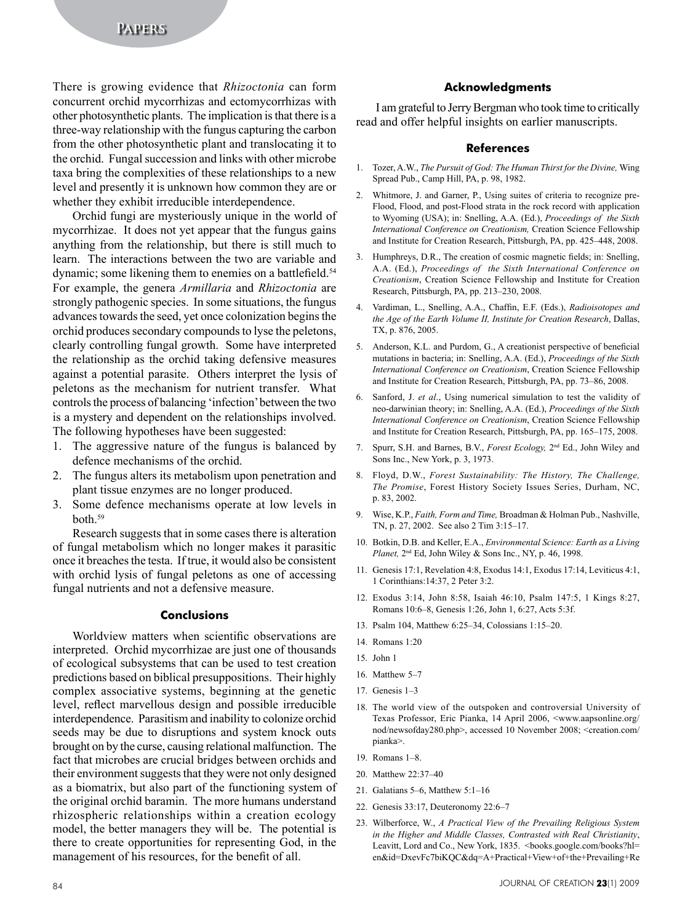There is growing evidence that *Rhizoctonia* can form concurrent orchid mycorrhizas and ectomycorrhizas with other photosynthetic plants. The implication is that there is a three-way relationship with the fungus capturing the carbon from the other photosynthetic plant and translocating it to the orchid. Fungal succession and links with other microbe taxa bring the complexities of these relationships to a new level and presently it is unknown how common they are or whether they exhibit irreducible interdependence.

Orchid fungi are mysteriously unique in the world of mycorrhizae. It does not yet appear that the fungus gains anything from the relationship, but there is still much to learn. The interactions between the two are variable and dynamic; some likening them to enemies on a battlefield.<sup>54</sup> For example, the genera *Armillaria* and *Rhizoctonia* are strongly pathogenic species. In some situations, the fungus advances towards the seed, yet once colonization begins the orchid produces secondary compounds to lyse the peletons, clearly controlling fungal growth. Some have interpreted the relationship as the orchid taking defensive measures against a potential parasite. Others interpret the lysis of peletons as the mechanism for nutrient transfer. What controls the process of balancing 'infection' between the two is a mystery and dependent on the relationships involved. The following hypotheses have been suggested:

- 1. The aggressive nature of the fungus is balanced by defence mechanisms of the orchid.
- 2. The fungus alters its metabolism upon penetration and plant tissue enzymes are no longer produced.
- 3. Some defence mechanisms operate at low levels in both.59

Research suggests that in some cases there is alteration of fungal metabolism which no longer makes it parasitic once it breaches the testa. If true, it would also be consistent with orchid lysis of fungal peletons as one of accessing fungal nutrients and not a defensive measure.

## **Conclusions**

Worldview matters when scientific observations are interpreted. Orchid mycorrhizae are just one of thousands of ecological subsystems that can be used to test creation predictions based on biblical presuppositions. Their highly complex associative systems, beginning at the genetic level, reflect marvellous design and possible irreducible interdependence. Parasitism and inability to colonize orchid seeds may be due to disruptions and system knock outs brought on by the curse, causing relational malfunction. The fact that microbes are crucial bridges between orchids and their environment suggests that they were not only designed as a biomatrix, but also part of the functioning system of the original orchid baramin. The more humans understand rhizospheric relationships within a creation ecology model, the better managers they will be. The potential is there to create opportunities for representing God, in the management of his resources, for the benefit of all.

#### **Acknowledgments**

I am grateful to Jerry Bergman who took time to critically read and offer helpful insights on earlier manuscripts.

#### **References**

- 1. Tozer, A.W., *The Pursuit of God: The Human Thirst for the Divine,* Wing Spread Pub., Camp Hill, PA, p. 98, 1982.
- 2. Whitmore, J. and Garner, P., Using suites of criteria to recognize pre-Flood, Flood, and post-Flood strata in the rock record with application to Wyoming (USA); in: Snelling, A.A. (Ed.), *Proceedings of the Sixth International Conference on Creationism,* Creation Science Fellowship and Institute for Creation Research, Pittsburgh, PA, pp. 425–448, 2008.
- 3. Humphreys, D.R., The creation of cosmic magnetic fields; in: Snelling, A.A. (Ed.), *Proceedings of the Sixth International Conference on Creationism*, Creation Science Fellowship and Institute for Creation Research, Pittsburgh, PA, pp. 213–230, 2008.
- 4. Vardiman, L., Snelling, A.A., Chaffin, E.F. (Eds.), *Radioisotopes and the Age of the Earth Volume II, Institute for Creation Research*, Dallas, TX, p. 876, 2005.
- 5. Anderson, K.L. and Purdom, G., A creationist perspective of beneficial mutations in bacteria; in: Snelling, A.A. (Ed.), *Proceedings of the Sixth International Conference on Creationism*, Creation Science Fellowship and Institute for Creation Research, Pittsburgh, PA, pp. 73–86, 2008.
- 6. Sanford, J. *et al*., Using numerical simulation to test the validity of neo-darwinian theory; in: Snelling, A.A. (Ed.), *Proceedings of the Sixth International Conference on Creationism*, Creation Science Fellowship and Institute for Creation Research, Pittsburgh, PA, pp. 165–175, 2008.
- 7. Spurr, S.H. and Barnes, B.V., *Forest Ecology,* 2nd Ed., John Wiley and Sons Inc., New York, p. 3, 1973.
- 8. Floyd, D.W., *Forest Sustainability: The History, The Challenge, The Promise*, Forest History Society Issues Series, Durham, NC, p. 83, 2002.
- 9. Wise, K.P., *Faith, Form and Time,* Broadman & Holman Pub., Nashville, TN, p. 27, 2002. See also 2 Tim 3:15–17.
- 10. Botkin, D.B. and Keller, E.A., *Environmental Science: Earth as a Living Planet, 2<sup>nd</sup>* Ed, John Wiley & Sons Inc., NY, p. 46, 1998.
- 11. Genesis 17:1, Revelation 4:8, Exodus 14:1, Exodus 17:14, Leviticus 4:1, 1 Corinthians:14:37, 2 Peter 3:2.
- 12. Exodus 3:14, John 8:58, Isaiah 46:10, Psalm 147:5, 1 Kings 8:27, Romans 10:6–8, Genesis 1:26, John 1, 6:27, Acts 5:3f.
- 13. Psalm 104, Matthew 6:25–34, Colossians 1:15–20.
- 14. Romans 1:20
- 15. John 1
- 16. Matthew 5–7
- 17. Genesis 1–3
- 18. The world view of the outspoken and controversial University of Texas Professor, Eric Pianka, 14 April 2006, <www.aapsonline.org/ nod/newsofday280.php>, accessed 10 November 2008; <creation.com/ pianka>.
- 19. Romans 1–8.
- 20. Matthew 22:37–40
- 21. Galatians 5–6, Matthew 5:1–16
- 22. Genesis 33:17, Deuteronomy 22:6–7
- 23. Wilberforce, W., *A Practical View of the Prevailing Religious System in the Higher and Middle Classes, Contrasted with Real Christianity*, Leavitt, Lord and Co., New York, 1835. <br/>books.google.com/books?hl= en&id=DxevFc7biKQC&dq=A+Practical+View+of+the+Prevailing+Re